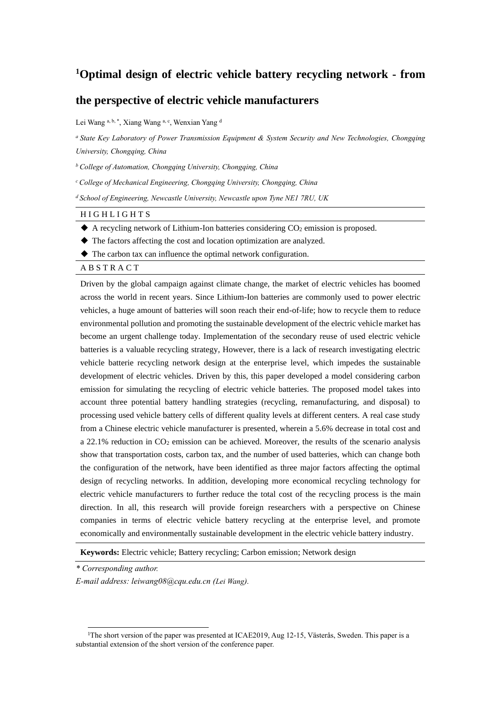# **<sup>1</sup>Optimal design of electric vehicle battery recycling network - from**

## **the perspective of electric vehicle manufacturers**

Lei Wang a, b, \*, Xiang Wang a, c, Wenxian Yang d

*<sup>a</sup>State Key Laboratory of Power Transmission Equipment & System Security and New Technologies, Chongqing University, Chongqing, China*

*<sup>b</sup>College of Automation, Chongqing University, Chongqing, China*

*<sup>c</sup>College of Mechanical Engineering, Chongqing University, Chongqing, China*

*<sup>d</sup> School of Engineering, Newcastle University, Newcastle upon Tyne NE1 7RU, UK*

#### H I G H L I G H T S

 $\blacklozenge$  A recycling network of Lithium-Ion batteries considering  $CO_2$  emission is proposed.

◆ The factors affecting the cost and location optimization are analyzed.

◆ The carbon tax can influence the optimal network configuration.

## A B S T R A C T

Driven by the global campaign against climate change, the market of electric vehicles has boomed across the world in recent years. Since Lithium-Ion batteries are commonly used to power electric vehicles, a huge amount of batteries will soon reach their end-of-life; how to recycle them to reduce environmental pollution and promoting the sustainable development of the electric vehicle market has become an urgent challenge today. Implementation of the secondary reuse of used electric vehicle batteries is a valuable recycling strategy, However, there is a lack of research investigating electric vehicle batterie recycling network design at the enterprise level, which impedes the sustainable development of electric vehicles. Driven by this, this paper developed a model considering carbon emission for simulating the recycling of electric vehicle batteries. The proposed model takes into account three potential battery handling strategies (recycling, remanufacturing, and disposal) to processing used vehicle battery cells of different quality levels at different centers. A real case study from a Chinese electric vehicle manufacturer is presented, wherein a 5.6% decrease in total cost and a 22.1% reduction in  $CO<sub>2</sub>$  emission can be achieved. Moreover, the results of the scenario analysis show that transportation costs, carbon tax, and the number of used batteries, which can change both the configuration of the network, have been identified as three major factors affecting the optimal design of recycling networks. In addition, developing more economical recycling technology for electric vehicle manufacturers to further reduce the total cost of the recycling process is the main direction. In all, this research will provide foreign researchers with a perspective on Chinese companies in terms of electric vehicle battery recycling at the enterprise level, and promote economically and environmentally sustainable development in the electric vehicle battery industry.

**Keywords:** Electric vehicle; Battery recycling; Carbon emission; Network design

*\* Corresponding author.*

*E-mail address: leiwang08@cqu.edu.cn (Lei Wang).*

<sup>&</sup>lt;sup>1</sup>The short version of the paper was presented at ICAE2019, Aug 12-15, Västerås, Sweden. This paper is a substantial extension of the short version of the conference paper.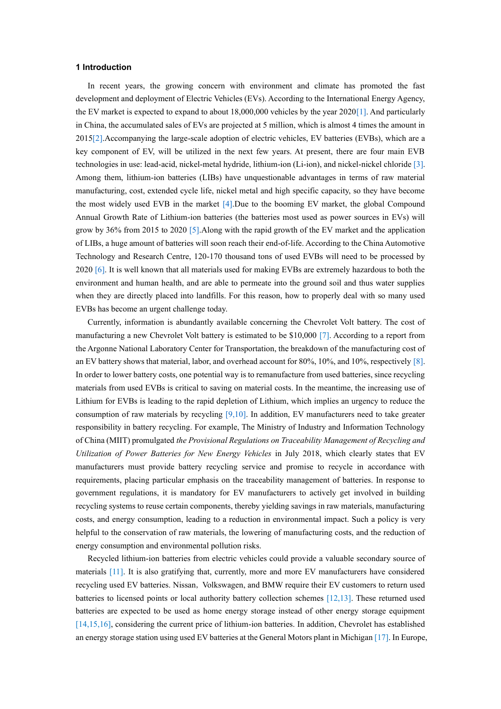### **1 Introduction**

In recent years, the growing concern with environment and climate has promoted the fast development and deployment of Electric Vehicles (EVs). According to the International Energy Agency, the EV market is expected to expand to about 18,000,000 vehicles by the year 202[0\[1\].](#page-17-0) And particularly in China, the accumulated sales of EVs are projected at 5 million, which is almost 4 times the amount in 201[5\[2\].](#page-17-1)Accompanying the large-scale adoption of electric vehicles, EV batteries (EVBs), which are a key component of EV, will be utilized in the next few years. At present, there are four main EVB technologies in use: lead-acid, nickel-metal hydride, lithium-ion (Li-ion), and nickel-nickel chlorid[e \[3\].](#page-17-2) Among them, lithium-ion batteries (LIBs) have unquestionable advantages in terms of raw material manufacturing, cost, extended cycle life, nickel metal and high specific capacity, so they have become the most widely used EVB in the market [\[4\].](#page-17-3)Due to the booming EV market, the global Compound Annual Growth Rate of Lithium-ion batteries (the batteries most used as power sources in EVs) will grow by 36% from 2015 to 2020 [\[5\].](#page-17-4)Along with the rapid growth of the EV market and the application of LIBs, a huge amount of batteries will soon reach their end-of-life. According to the China Automotive Technology and Research Centre, 120-170 thousand tons of used EVBs will need to be processed by 2020 [\[6\].](#page-17-5) It is well known that all materials used for making EVBs are extremely hazardous to both the environment and human health, and are able to permeate into the ground soil and thus water supplies when they are directly placed into landfills. For this reason, how to properly deal with so many used EVBs has become an urgent challenge today.

Currently, information is abundantly available concerning the Chevrolet Volt battery. The cost of manufacturing a new Chevrolet Volt battery is estimated to be \$10,000 [\[7\].](#page-17-6) According to a report from the Argonne National Laboratory Center for Transportation, the breakdown of the manufacturing cost of an EV battery shows that material, labor, and overhead account for 80%, 10%, and 10%, respectively [\[8\].](#page-17-7) In order to lower battery costs, one potential way is to remanufacture from used batteries, since recycling materials from used EVBs is critical to saving on material costs. In the meantime, the increasing use of Lithium for EVBs is leading to the rapid depletion of Lithium, which implies an urgency to reduce the consumption of raw materials by recycling  $[9,10]$  $[9,10]$ . In addition, EV manufacturers need to take greater responsibility in battery recycling. For example, The Ministry of Industry and Information Technology of China (MIIT) promulgated *the Provisional Regulations on Traceability Management of Recycling and Utilization of Power Batteries for New Energy Vehicles* in July 2018, which clearly states that EV manufacturers must provide battery recycling service and promise to recycle in accordance with requirements, placing particular emphasis on the traceability management of batteries. In response to government regulations, it is mandatory for EV manufacturers to actively get involved in building recycling systems to reuse certain components, thereby yielding savings in raw materials, manufacturing costs, and energy consumption, leading to a reduction in environmental impact. Such a policy is very helpful to the conservation of raw materials, the lowering of manufacturing costs, and the reduction of energy consumption and environmental pollution risks.

Recycled lithium-ion batteries from electric vehicles could provide a valuable secondary source of materials [\[11\].](#page-17-10) It is also gratifying that, currently, more and more EV manufacturers have considered recycling used EV batteries. Nissan, Volkswagen, and BMW require their EV customers to return used batteries to licensed points or local authority battery collection schemes [\[12](#page-17-11)[,13\].](#page-17-12) These returned used batteries are expected to be used as home energy storage instead of other energy storage equipment [\[14,](#page-18-0)[15](#page-18-1)[,16\],](#page-18-2) considering the current price of lithium-ion batteries. In addition, Chevrolet has established an energy storage station using used EV batteries at the General Motors plant in Michigan [\[17\].](#page-18-3) In Europe,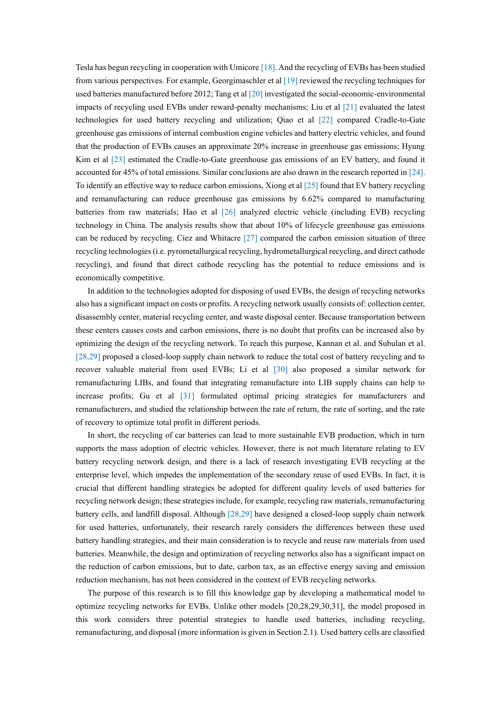Tesla has begun recycling in cooperation with Umicore [\[18\].](#page-18-4) And the recycling of EVBs has been studied from various perspectives. For example, Georgimaschler et al [\[19\]](#page-18-5) reviewed the recycling techniques for used batteries manufactured before 2012; Tang et a[l \[20\]](#page-18-6) investigated the social-economic-environmental impacts of recycling used EVBs under reward-penalty mechanisms; Liu et al [\[21\]](#page-18-7) evaluated the latest technologies for used battery recycling and utilization; Qiao et al [\[22\]](#page-18-8) compared Cradle-to-Gate greenhouse gas emissions of internal combustion engine vehicles and battery electric vehicles, and found that the production of EVBs causes an approximate 20% increase in greenhouse gas emissions; Hyung Kim et al [\[23\]](#page-18-9) estimated the Cradle-to-Gate greenhouse gas emissions of an EV battery, and found it accounted for 45% of total emissions. Similar conclusions are also drawn in the research reported in [\[24\].](#page-18-10) To identify an effective way to reduce carbon emissions, Xiong et a[l \[25\]](#page-18-11) found that EV battery recycling and remanufacturing can reduce greenhouse gas emissions by 6.62% compared to manufacturing batteries from raw materials; Hao et al [\[26\]](#page-18-12) analyzed electric vehicle (including EVB) recycling technology in China. The analysis results show that about 10% of lifecycle greenhouse gas emissions can be reduced by recycling. Ciez and Whitacre [\[27\]](#page-18-13) compared the carbon emission situation of three recycling technologies (i.e. pyrometallurgical recycling, hydrometallurgical recycling, and direct cathode recycling), and found that direct cathode recycling has the potential to reduce emissions and is economically competitive.

In addition to the technologies adopted for disposing of used EVBs, the design of recycling networks also has a significant impact on costs or profits. A recycling network usually consists of: collection center, disassembly center, material recycling center, and waste disposal center. Because transportation between these centers causes costs and carbon emissions, there is no doubt that profits can be increased also by optimizing the design of the recycling network. To reach this purpose, Kannan et al. and Subulan et al. [\[28,](#page-18-14)[29\]](#page-9-0) proposed a closed-loop supply chain network to reduce the total cost of battery recycling and to recover valuable material from used EVBs; Li et al [\[30\]](#page-19-0) also proposed a similar network for remanufacturing LIBs, and found that integrating remanufacture into LIB supply chains can help to increase profits; Gu et al [\[31\]](#page-19-1) formulated optimal pricing strategies for manufacturers and remanufacturers, and studied the relationship between the rate of return, the rate of sorting, and the rate of recovery to optimize total profit in different periods.

In short, the recycling of car batteries can lead to more sustainable EVB production, which in turn supports the mass adoption of electric vehicles. However, there is not much literature relating to EV battery recycling network design, and there is a lack of research investigating EVB recycling at the enterprise level, which impedes the implementation of the secondary reuse of used EVBs. In fact, it is crucial that different handling strategies be adopted for different quality levels of used batteries for recycling network design; these strategies include, for example, recycling raw materials, remanufacturing battery cells, and landfill disposal. Although [\[28,](#page-18-14)[29\]](#page-9-0) have designed a closed-loop supply chain network for used batteries, unfortunately, their research rarely considers the differences between these used battery handling strategies, and their main consideration is to recycle and reuse raw materials from used batteries. Meanwhile, the design and optimization of recycling networks also has a significant impact on the reduction of carbon emissions, but to date, carbon tax, as an effective energy saving and emission reduction mechanism, has not been considered in the context of EVB recycling networks.

The purpose of this research is to fill this knowledge gap by developing a mathematical model to optimize recycling networks for EVBs. Unlike other models [\[20](#page-18-6)[,28](#page-18-14)[,29](#page-9-0)[,30](#page-19-0)[,31\],](#page-19-1) the model proposed in this work considers three potential strategies to handle used batteries, including recycling, remanufacturing, and disposal (more information is given in Section 2.1). Used battery cells are classified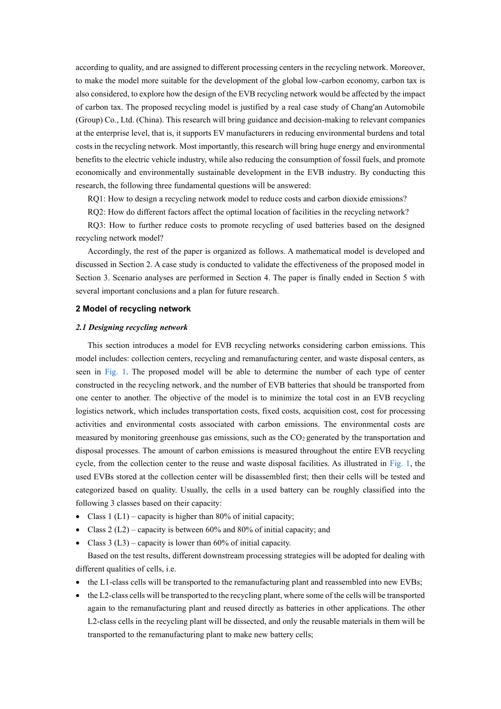according to quality, and are assigned to different processing centers in the recycling network. Moreover, to make the model more suitable for the development of the global low-carbon economy, carbon tax is also considered, to explore how the design of the EVB recycling network would be affected by the impact of carbon tax. The proposed recycling model is justified by a real case study of Chang'an Automobile (Group) Co., Ltd. (China). This research will bring guidance and decision-making to relevant companies at the enterprise level, that is, it supports EV manufacturers in reducing environmental burdens and total costs in the recycling network. Most importantly, this research will bring huge energy and environmental benefits to the electric vehicle industry, while also reducing the consumption of fossil fuels, and promote economically and environmentally sustainable development in the EVB industry. By conducting this research, the following three fundamental questions will be answered:

RO1: How to design a recycling network model to reduce costs and carbon dioxide emissions?

RQ2: How do different factors affect the optimal location of facilities in the recycling network?

RQ3: How to further reduce costs to promote recycling of used batteries based on the designed recycling network model?

Accordingly, the rest of the paper is organized as follows. A mathematical model is developed and discussed in Section 2. A case study is conducted to validate the effectiveness of the proposed model in Section 3. Scenario analyses are performed in Section 4. The paper is finally ended in Section 5 with several important conclusions and a plan for future research.

## **2 Model of recycling network**

#### *2.1 Designing recycling network*

This section introduces a model for EVB recycling networks considering carbon emissions. This model includes: collection centers, recycling and remanufacturing center, and waste disposal centers, as seen in [Fig.](#page-4-0) 1. The proposed model will be able to determine the number of each type of center constructed in the recycling network, and the number of EVB batteries that should be transported from one center to another. The objective of the model is to minimize the total cost in an EVB recycling logistics network, which includes transportation costs, fixed costs, acquisition cost, cost for processing activities and environmental costs associated with carbon emissions. The environmental costs are measured by monitoring greenhouse gas emissions, such as the  $CO<sub>2</sub>$  generated by the transportation and disposal processes. The amount of carbon emissions is measured throughout the entire EVB recycling cycle, from the collection center to the reuse and waste disposal facilities. As illustrated in [Fig. 1,](#page-4-0) the used EVBs stored at the collection center will be disassembled first; then their cells will be tested and categorized based on quality. Usually, the cells in a used battery can be roughly classified into the following 3 classes based on their capacity:

- Class  $1 (L1)$  capacity is higher than 80% of initial capacity;
- Class 2 (L2) capacity is between 60% and 80% of initial capacity; and
- Class  $3 (L3)$  capacity is lower than 60% of initial capacity.

Based on the test results, different downstream processing strategies will be adopted for dealing with different qualities of cells, i.e.

- the L1-class cells will be transported to the remanufacturing plant and reassembled into new EVBs;
- the L2-class cells will be transported to the recycling plant, where some of the cells will be transported again to the remanufacturing plant and reused directly as batteries in other applications. The other L2-class cells in the recycling plant will be dissected, and only the reusable materials in them will be transported to the remanufacturing plant to make new battery cells;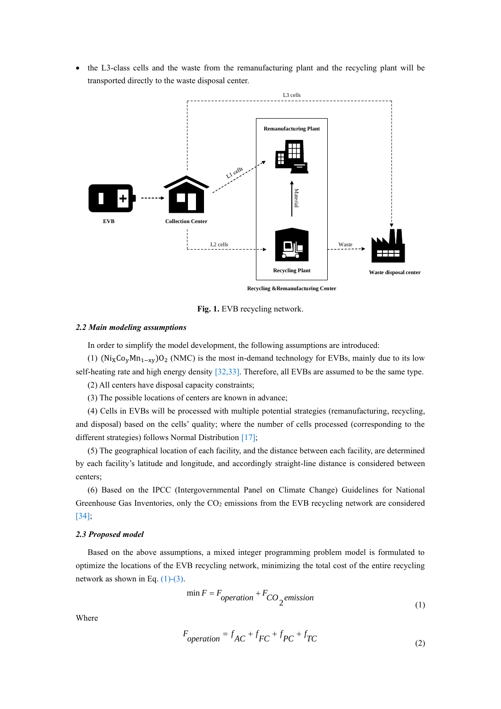• the L3-class cells and the waste from the remanufacturing plant and the recycling plant will be transported directly to the waste disposal center.

<span id="page-4-0"></span>

**Fig. 1.** EVB recycling network.

## *2.2 Main modeling assumptions*

In order to simplify the model development, the following assumptions are introduced:

(1)  $(Ni_X Co_y Mn_{1-xy})O_2$  (NMC) is the most in-demand technology for EVBs, mainly due to its low self-heating rate and high energy density [\[32](#page-19-2)[,33\].](#page-19-3) Therefore, all EVBs are assumed to be the same type.

(2) All centers have disposal capacity constraints;

(3) The possible locations of centers are known in advance;

(4) Cells in EVBs will be processed with multiple potential strategies (remanufacturing, recycling, and disposal) based on the cells' quality; where the number of cells processed (corresponding to the different strategies) follows Normal Distribution [\[17\];](#page-18-3)

(5) The geographical location of each facility, and the distance between each facility, are determined by each facility's latitude and longitude, and accordingly straight-line distance is considered between centers;

(6) Based on the IPCC (Intergovernmental Panel on Climate Change) Guidelines for National Greenhouse Gas Inventories, only the  $CO<sub>2</sub>$  emissions from the EVB recycling network are considered [\[34\];](#page-19-4)

## *2.3 Proposed model*

Based on the above assumptions, a mixed integer programming problem model is formulated to optimize the locations of the EVB recycling network, minimizing the total cost of the entire recycling network as shown in Eq.  $(1)-(3)$ .

<span id="page-4-2"></span>
$$
\min F = F_{operation} + F_{CO_2} \text{emission} \tag{1}
$$

Where

<span id="page-4-1"></span>
$$
F_{operation} = f_{AC} + f_{FC} + f_{PC} + f_{TC}
$$
\n(2)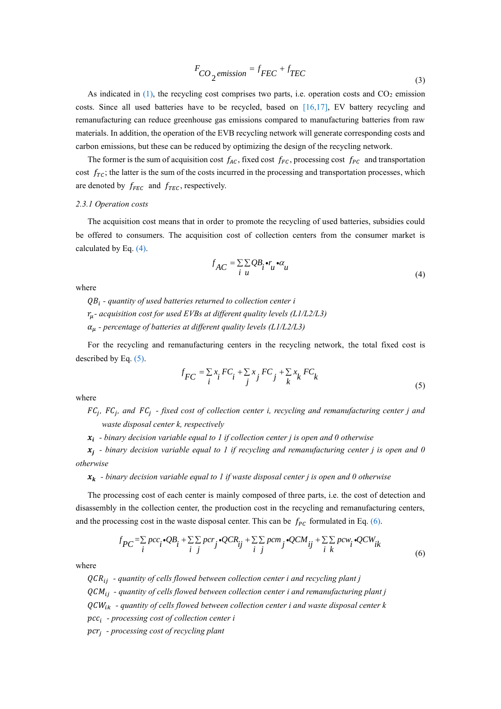$$
F_{CO_2} \text{emission} = f_{FEC} + f_{TEC}
$$
\n(3)

As indicated in  $(1)$ , the recycling cost comprises two parts, i.e. operation costs and  $CO<sub>2</sub>$  emission costs. Since all used batteries have to be recycled, based on [\[16](#page-18-2)[,17\],](#page-18-3) EV battery recycling and remanufacturing can reduce greenhouse gas emissions compared to manufacturing batteries from raw materials. In addition, the operation of the EVB recycling network will generate corresponding costs and carbon emissions, but these can be reduced by optimizing the design of the recycling network.

The former is the sum of acquisition cost  $f_{AC}$ , fixed cost  $f_{FC}$ , processing cost  $f_{PC}$  and transportation cost  $f_{TC}$ ; the latter is the sum of the costs incurred in the processing and transportation processes, which are denoted by  $f_{FEC}$  and  $f_{TEC}$ , respectively.

#### *2.3.1 Operation costs*

The acquisition cost means that in order to promote the recycling of used batteries, subsidies could be offered to consumers. The acquisition cost of collection centers from the consumer market is calculated by Eq[. \(4\).](#page-5-0)

$$
f_{AC} = \sum_{i} \sum_{u} QB_{i} \cdot r_{u} \cdot \alpha_{u}
$$
\n<sup>(4)</sup>

<span id="page-5-0"></span>where

 *- quantity of used batteries returned to collection center i - acquisition cost for used EVBs at different quality levels (L1/L2/L3) - percentage of batteries at different quality levels (L1/L2/L3)*

<span id="page-5-1"></span>For the recycling and remanufacturing centers in the recycling network, the total fixed cost is described by Eq. [\(5\).](#page-5-1)

$$
f_{FC} = \sum_{i} x_i F C_i + \sum_{j} x_j F C_j + \sum_{k} x_k F C_k
$$
\n(5)

where

*FC<sub>j</sub>*, *FC<sub>j</sub>*, and *FC<sub>j</sub>* - *fixed cost of collection center i, recycling and remanufacturing center j and waste disposal center k, respectively*

*- binary decision variable equal to 1 if collection center j is open and 0 otherwise*

 $x_j$  - binary decision variable equal to 1 if recycling and remanufacturing center j is open and 0 *otherwise*

 $x_k$  - binary decision variable equal to 1 if waste disposal center *j* is open and 0 otherwise

The processing cost of each center is mainly composed of three parts, i.e. the cost of detection and disassembly in the collection center, the production cost in the recycling and remanufacturing centers,

<span id="page-5-2"></span>and the processing cost in the waste disposal center. This can be 
$$
f_{PC}
$$
 formulated in Eq. (6).  
\n
$$
f_{PC} = \sum_{i} pcc_i \cdot QB_i + \sum_{i} pcr_j \cdot QCR_{ij} + \sum_{i} pcm_j \cdot QCM_{ij} + \sum_{i} pcw_i \cdot QCW_{ik}
$$
\n(6)

where

*- quantity of cells flowed between collection center i and recycling plant j*

*- quantity of cells flowed between collection center i and remanufacturing plant j*

*- quantity of cells flowed between collection center i and waste disposal center k*

*- processing cost of collection center i*

*- processing cost of recycling plant*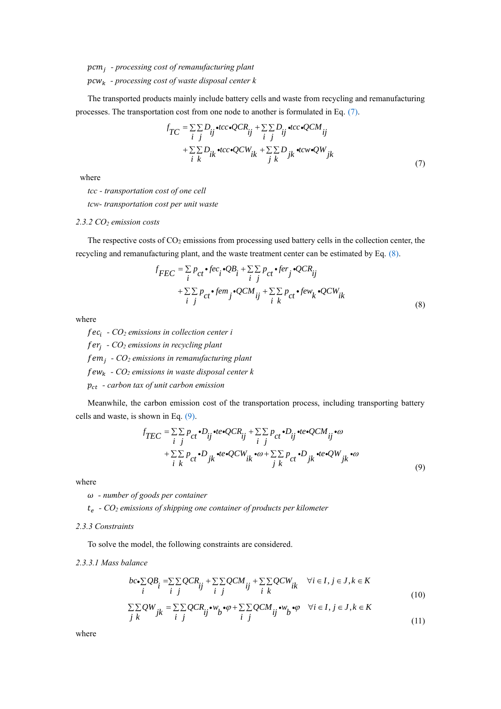## *- processing cost of remanufacturing plant - processing cost of waste disposal center k*

The transported products mainly include battery cells and waste from recycling and remanufacturing

<span id="page-6-0"></span>processes. The transportation cost from one node to another is formulated in Eq. (7).  
\n
$$
f_{TC} = \sum_{i} \sum_{j} D_{ij} \cdot tcc \cdot QCR_{ij} + \sum_{i} \sum_{j} D_{ij} \cdot tcc \cdot QCM_{ij} + \sum_{i} \sum_{j} D_{ik} \cdot tcc \cdot QCW_{ik} + \sum_{j} \sum_{j} D_{jk} \cdot tcw \cdot QW_{jk}
$$
\n
$$
+ \sum_{i} \sum_{k} D_{ik} \cdot tcc \cdot QCW_{ik} + \sum_{j} \sum_{k} D_{jk} \cdot tcw \cdot QW_{jk}
$$
\n(7)

where

*tcc - transportation cost of one cell*

*tcw- transportation cost per unit waste* 

#### *2.3.2 CO<sup>2</sup> emission costs*

The respective costs of  $CO<sub>2</sub>$  emissions from processing used battery cells in the collection center, the

<span id="page-6-1"></span>recycling and remanufacturing plant, and the waste treatment center can be estimated by Eq. (8).  
\n
$$
f_{FEC} = \sum_{i} p_{ct} \cdot fec_i \cdot QB_i + \sum_{i} p_{ct} \cdot fer_j \cdot QCR_{ij}
$$
\n
$$
+ \sum_{i} p_{ct} \cdot fem_j \cdot QCM_{ij} + \sum_{i} p_{ct} \cdot few_k \cdot QCW_{ik}
$$
\n(8)

where

 *- CO<sup>2</sup> emissions in collection center i - CO<sup>2</sup> emissions in recycling plant - CO<sup>2</sup> emissions in remanufacturing plant - CO<sup>2</sup> emissions in waste disposal center k - carbon tax of unit carbon emission*

<span id="page-6-2"></span>Meanwhile, the carbon emission cost of the transportation process, including transporting battery cells and waste, is shown in Eq. (9).

shown in Eq. (9).  
\n
$$
f_{TEC} = \sum_{i} p_{ct} \cdot D_{ij} \cdot te \cdot QCR_{ij} + \sum_{i} p_{ct} \cdot D_{ij} \cdot te \cdot QCM_{ij} \cdot \omega + \sum_{i} \sum_{k} p_{ct} \cdot D_{jk} \cdot te \cdot QCW_{ik} \cdot \omega + \sum_{j} \sum_{k} p_{ct} \cdot D_{jk} \cdot te \cdot QW_{jk} \cdot \omega
$$
\n(9)

where

*- number of goods per container*

*- CO<sup>2</sup> emissions of shipping one container of products per kilometer*

#### *2.3.3 Constraints*

To solve the model, the following constraints are considered.

<span id="page-6-3"></span>*2.3.3.1 Mass balance* 

lance  
\n
$$
bc \cdot \sum_{i} QB_{i} = \sum_{i} \sum_{j} QCR_{i} + \sum_{j} \sum_{j} QCM_{ij} + \sum_{i} \sum_{k} QCW_{ik} \quad \forall i \in I, j \in J, k \in K
$$
\n(10)

$$
\sum_{i} QW_{ji} = \sum_{j} QCR_{ij} \cdot w_{ij} + \sum_{i} QCM_{ij} + \sum_{i} QCM_{ik} \quad \forall i \in I, j \in J, k \in K
$$
\n
$$
\sum_{j} QW_{jk} = \sum_{i} QCR_{ij} \cdot w_{j} \cdot \varphi + \sum_{i} QCM_{ij} \cdot w_{j} \cdot \varphi \quad \forall i \in I, j \in J, k \in K
$$
\n(10)

<span id="page-6-4"></span>where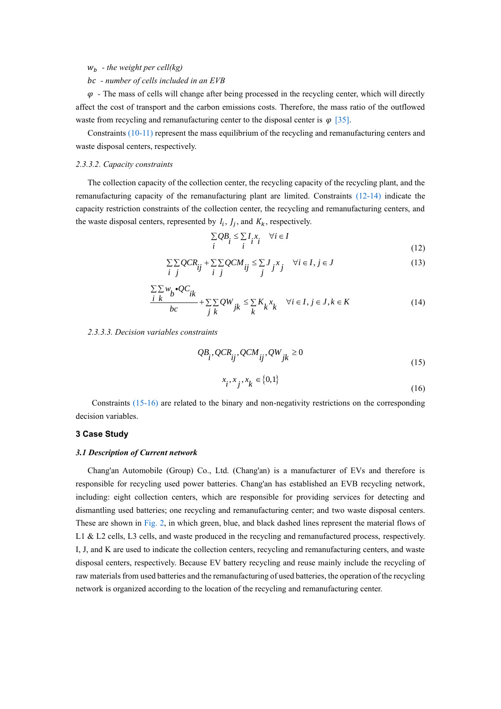## $w_b$  - *the weight per cell(kg)*

## *- number of cells included in an EVB*

 $\varphi$  - The mass of cells will change after being processed in the recycling center, which will directly affect the cost of transport and the carbon emissions costs. Therefore, the mass ratio of the outflowed waste from recycling and remanufacturing center to the disposal center is  $\varphi$  [\[35\].](#page-19-5)

Constraints [\(10](#page-6-3)[-11\)](#page-6-4) represent the mass equilibrium of the recycling and remanufacturing centers and waste disposal centers, respectively.

#### *2.3.3.2. Capacity constraints*

The collection capacity of the collection center, the recycling capacity of the recycling plant, and the remanufacturing capacity of the remanufacturing plant are limited. Constraints [\(12-14\)](#page-7-0) indicate the capacity restriction constraints of the collection center, the recycling and remanufacturing centers, and the waste disposal centers, represented by  $I_i$ ,  $J_j$ , and  $K_k$ , respectively.

$$
\sum_{i} QB_{i} \leq \sum_{i} I_{i}x_{i} \quad \forall i \in I
$$
\n(12)

$$
\sum_{i} \sum_{j} QCR_{ij} + \sum_{i} \sum_{j} QCM_{ij} \leq \sum_{j} J_{j} x_{j} \quad \forall i \in I, j \in J
$$
\n(12)

$$
\frac{\sum \sum w_{b} \cdot QC_{ik}}{bc} + \sum \sum QW_{jk} \leq \sum K_{k} x_{k} \quad \forall i \in I, j \in J, k \in K
$$
\n(14)

#### <span id="page-7-1"></span><span id="page-7-0"></span>*2.3.3.3. Decision variables constraints*

$$
QB_{i}^{T}, QCR_{ij}^{T}, QCM_{ij}^{T}, QW_{jk} \ge 0
$$
\n(15)

$$
x_i, x_j, x_k \in \{0, 1\} \tag{16}
$$

Constraints [\(15-16\)](#page-7-1) are related to the binary and non-negativity restrictions on the corresponding decision variables.

#### **3 Case Study**

#### *3.1 Description of Current network*

Chang'an Automobile (Group) Co., Ltd. (Chang'an) is a manufacturer of EVs and therefore is responsible for recycling used power batteries. Chang'an has established an EVB recycling network, including: eight collection centers, which are responsible for providing services for detecting and dismantling used batteries; one recycling and remanufacturing center; and two waste disposal centers. These are shown in [Fig.](#page-8-0) 2, in which green, blue, and black dashed lines represent the material flows of L1 & L2 cells, L3 cells, and waste produced in the recycling and remanufactured process, respectively. I, J, and K are used to indicate the collection centers, recycling and remanufacturing centers, and waste disposal centers, respectively. Because EV battery recycling and reuse mainly include the recycling of raw materials from used batteries and the remanufacturing of used batteries, the operation of the recycling network is organized according to the location of the recycling and remanufacturing center.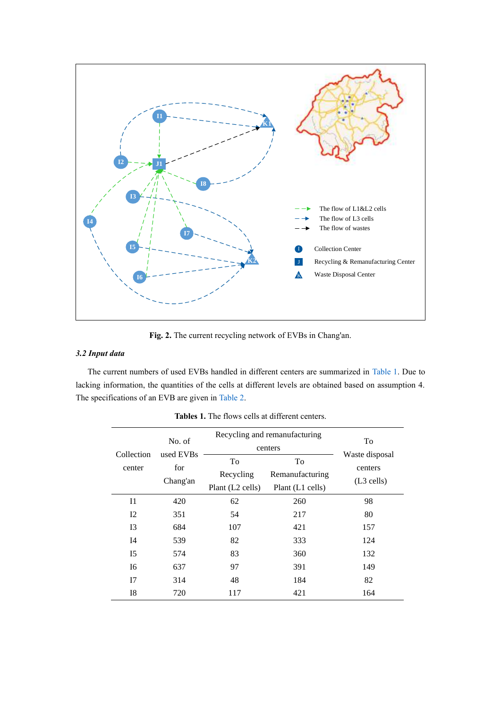<span id="page-8-0"></span>

**Fig. 2.** The current recycling network of EVBs in Chang'an.

## *3.2 Input data*

<span id="page-8-1"></span>The current numbers of used EVBs handled in different centers are summarized in [Table 1.](#page-8-1) Due to lacking information, the quantities of the cells at different levels are obtained based on assumption 4. The specifications of an EVB are given in [Table 2.](#page-9-1)

|                | No. of<br>used EVBs<br>for<br>Chang'an | Recycling and remanufacturing |                       | To                      |  |
|----------------|----------------------------------------|-------------------------------|-----------------------|-------------------------|--|
| Collection     |                                        | centers                       |                       |                         |  |
|                |                                        | To                            | To<br>Remanufacturing | Waste disposal          |  |
| center         |                                        | Recycling                     |                       | centers<br>$(L3$ cells) |  |
|                |                                        | Plant (L2 cells)              | Plant (L1 cells)      |                         |  |
| $_{\rm I1}$    | 420                                    | 62                            | 260                   | 98                      |  |
| 12             | 351                                    | 54                            | 217                   | 80                      |  |
| I <sub>3</sub> | 684                                    | 107                           | 421                   | 157                     |  |
| I4             | 539                                    | 82                            | 333                   | 124                     |  |
| I <sub>5</sub> | 574                                    | 83                            | 360                   | 132                     |  |
| I6             | 637                                    | 97                            | 391                   | 149                     |  |
| I7             | 314                                    | 48                            | 184                   | 82                      |  |
| I8             | 720                                    | 117                           | 421                   | 164                     |  |

**Tables 1.** The flows cells at different centers.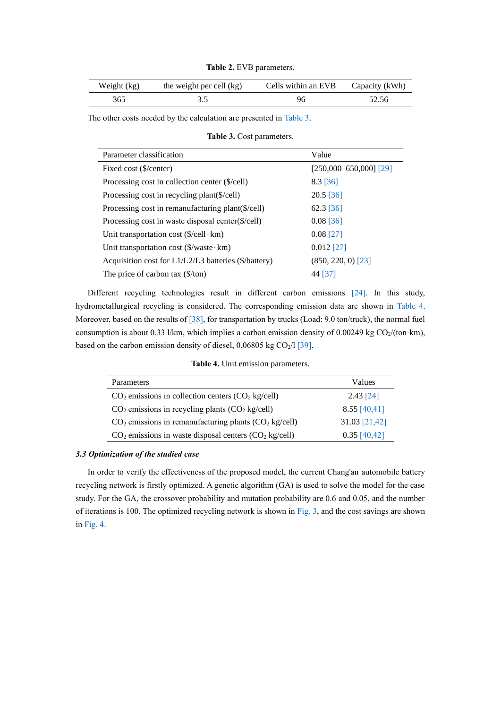**Table 2.** EVB parameters.

<span id="page-9-1"></span>

| Weight (kg) | the weight per cell (kg) | Cells within an EVB | Capacity (kWh) |
|-------------|--------------------------|---------------------|----------------|
| 365         |                          |                     | 52.56          |

<span id="page-9-2"></span>The other costs needed by the calculation are presented in [Table 3.](#page-9-2)

<span id="page-9-0"></span>**Table 3.** Cost parameters.

| Parameter classification                               | Value                      |  |  |
|--------------------------------------------------------|----------------------------|--|--|
| Fixed cost (\$/center)                                 | $[250,000 - 650,000]$ [29] |  |  |
| Processing cost in collection center (\$/cell)         | $8.3$ [36]                 |  |  |
| Processing cost in recycling plant(\$/cell)            | $20.5$ [36]                |  |  |
| Processing cost in remanufacturing plant(\$/cell)      | $62.3$ [36]                |  |  |
| Processing cost in waste disposal center(\$/cell)      | $0.08$ [36]                |  |  |
| Unit transportation cost $(\frac{\csc \pi}{\csc \pi})$ | $0.08$ [27]                |  |  |
| Unit transportation cost $(\frac{C}{x})$ waste km)     | $0.012$ [27]               |  |  |
| Acquisition cost for L1/L2/L3 batteries (\$/battery)   | $(850, 220, 0)$ [23]       |  |  |
| The price of carbon tax $(\frac{5}{\tan})$             | 44 [37]                    |  |  |

Different recycling technologies result in different carbon emissions [\[24\].](#page-18-10) In this study, hydrometallurgical recycling is considered. The corresponding emission data are shown in [Table 4.](#page-9-3) Moreover, based on the results o[f \[38\],](#page-19-8) for transportation by trucks (Load: 9.0 ton/truck), the normal fuel consumption is about 0.33 l/km, which implies a carbon emission density of 0.00249 kg  $CO<sub>2</sub>$ /(ton·km), based on the carbon emission density of diesel,  $0.06805$  kg CO<sub>2</sub>/l [\[39\].](#page-19-9)

**Table 4.** Unit emission parameters.

<span id="page-9-3"></span>

| Parameters                                                | Values         |
|-----------------------------------------------------------|----------------|
| $CO2$ emissions in collection centers $(CO2$ kg/cell)     | $2.43$ [24]    |
| $CO2$ emissions in recycling plants $(CO2$ kg/cell)       | $8.55$ [40,41] |
| $CO2$ emissions in remanufacturing plants $(CO2$ kg/cell) | 31.03 [21,42]  |
| $CO2$ emissions in waste disposal centers $(CO2$ kg/cell) | $0.35$ [40,42] |

#### *3.3 Optimization of the studied case*

In order to verify the effectiveness of the proposed model, the current Chang'an automobile battery recycling network is firstly optimized. A genetic algorithm (GA) is used to solve the model for the case study. For the GA, the crossover probability and mutation probability are 0.6 and 0.05, and the number of iterations is 100. The optimized recycling network is shown in [Fig.](#page-10-0) 3, and the cost savings are shown in [Fig.](#page-10-1) 4.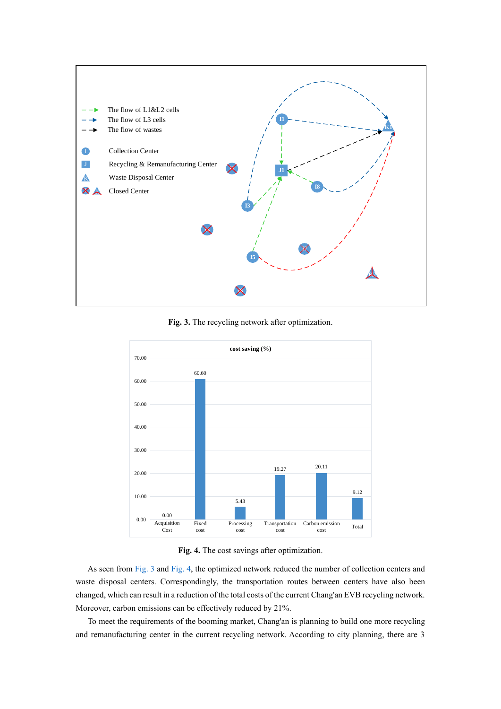<span id="page-10-0"></span>

**Fig. 3.** The recycling network after optimization.

<span id="page-10-1"></span>

**Fig. 4.** The cost savings after optimization.

As seen from [Fig. 3](#page-10-0) and [Fig. 4,](#page-10-1) the optimized network reduced the number of collection centers and waste disposal centers. Correspondingly, the transportation routes between centers have also been changed, which can result in a reduction of the total costs of the current Chang'an EVB recycling network. Moreover, carbon emissions can be effectively reduced by 21%.

To meet the requirements of the booming market, Chang'an is planning to build one more recycling and remanufacturing center in the current recycling network. According to city planning, there are 3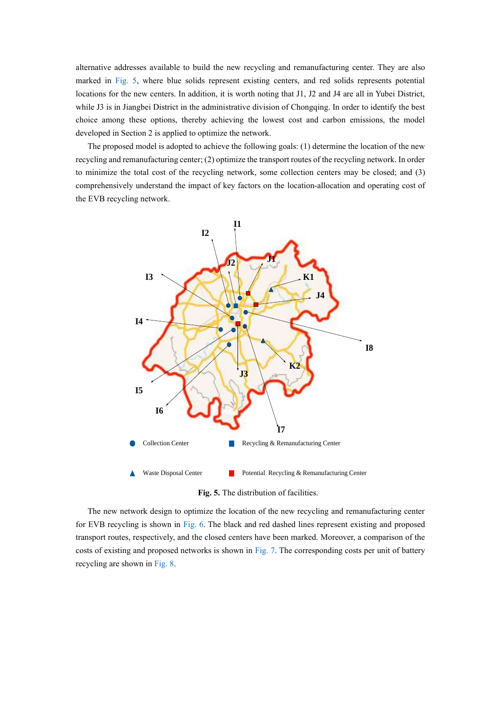alternative addresses available to build the new recycling and remanufacturing center. They are also marked in [Fig.](#page-11-0) 5, where blue solids represent existing centers, and red solids represents potential locations for the new centers. In addition, it is worth noting that J1, J2 and J4 are all in Yubei District, while J3 is in Jiangbei District in the administrative division of Chongqing. In order to identify the best choice among these options, thereby achieving the lowest cost and carbon emissions, the model developed in Section 2 is applied to optimize the network.

The proposed model is adopted to achieve the following goals: (1) determine the location of the new recycling and remanufacturing center; (2) optimize the transport routes of the recycling network. In order to minimize the total cost of the recycling network, some collection centers may be closed; and (3) comprehensively understand the impact of key factors on the location-allocation and operating cost of the EVB recycling network.

<span id="page-11-0"></span>

**Fig. 5.** The distribution of facilities.

The new network design to optimize the location of the new recycling and remanufacturing center for EVB recycling is shown in [Fig. 6.](#page-12-0) The black and red dashed lines represent existing and proposed transport routes, respectively, and the closed centers have been marked. Moreover, a comparison of the costs of existing and proposed networks is shown in [Fig.](#page-12-1) 7. The corresponding costs per unit of battery recycling are shown in [Fig.](#page-13-0) 8.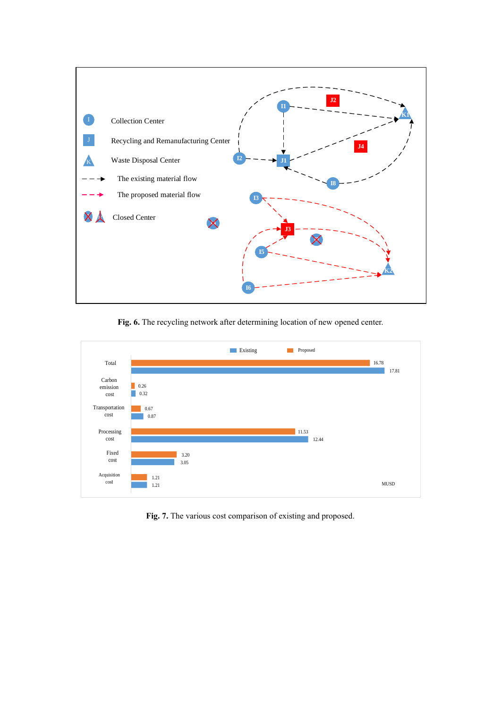<span id="page-12-0"></span>

**Fig. 6.** The recycling network after determining location of new opened center.

<span id="page-12-1"></span>

**Fig. 7.** The various cost comparison of existing and proposed.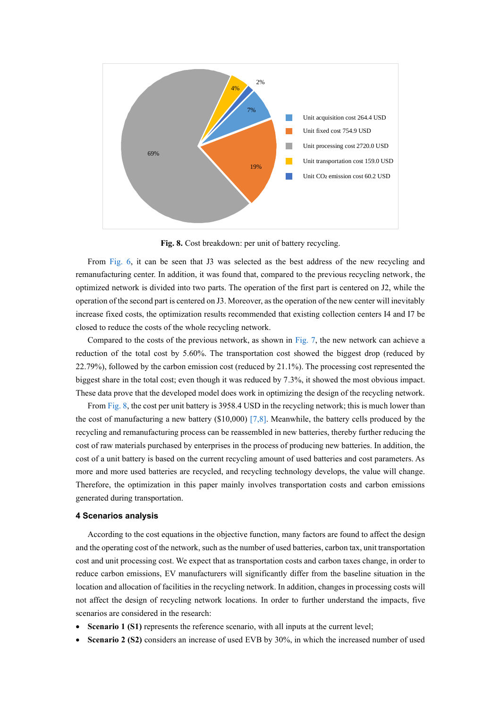<span id="page-13-0"></span>

**Fig. 8.** Cost breakdown: per unit of battery recycling.

From [Fig. 6,](#page-12-0) it can be seen that J3 was selected as the best address of the new recycling and remanufacturing center. In addition, it was found that, compared to the previous recycling network, the optimized network is divided into two parts. The operation of the first part is centered on J2, while the operation of the second part is centered on J3. Moreover, as the operation of the new center will inevitably increase fixed costs, the optimization results recommended that existing collection centers I4 and I7 be closed to reduce the costs of the whole recycling network.

Compared to the costs of the previous network, as shown in [Fig. 7,](#page-12-1) the new network can achieve a reduction of the total cost by 5.60%. The transportation cost showed the biggest drop (reduced by 22.79%), followed by the carbon emission cost (reduced by 21.1%). The processing cost represented the biggest share in the total cost; even though it was reduced by 7.3%, it showed the most obvious impact. These data prove that the developed model does work in optimizing the design of the recycling network.

From [Fig. 8,](#page-13-0) the cost per unit battery is 3958.4 USD in the recycling network; this is much lower than the cost of manufacturing a new battery  $(\$10,000)$  [\[7](#page-17-6)[,8\].](#page-17-7) Meanwhile, the battery cells produced by the recycling and remanufacturing process can be reassembled in new batteries, thereby further reducing the cost of raw materials purchased by enterprises in the process of producing new batteries. In addition, the cost of a unit battery is based on the current recycling amount of used batteries and cost parameters. As more and more used batteries are recycled, and recycling technology develops, the value will change. Therefore, the optimization in this paper mainly involves transportation costs and carbon emissions generated during transportation.

### **4 Scenarios analysis**

According to the cost equations in the objective function, many factors are found to affect the design and the operating cost of the network, such as the number of used batteries, carbon tax, unit transportation cost and unit processing cost. We expect that as transportation costs and carbon taxes change, in order to reduce carbon emissions, EV manufacturers will significantly differ from the baseline situation in the location and allocation of facilities in the recycling network. In addition, changes in processing costs will not affect the design of recycling network locations. In order to further understand the impacts, five scenarios are considered in the research:

- Scenario 1 (S1) represents the reference scenario, with all inputs at the current level;
- **Scenario 2 (S2)** considers an increase of used EVB by 30%, in which the increased number of used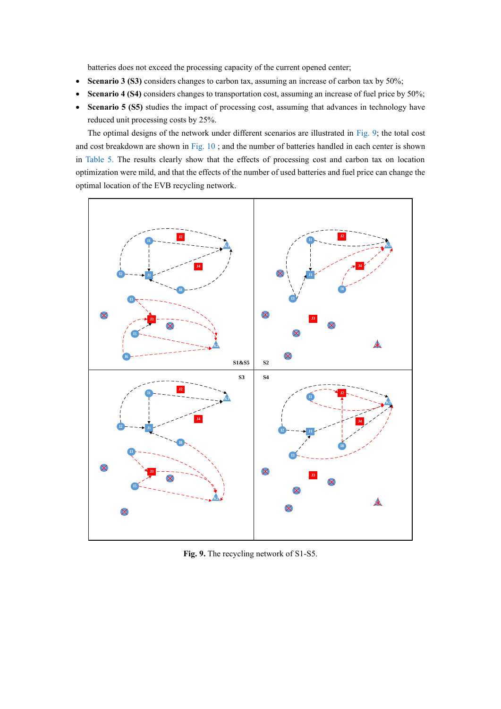batteries does not exceed the processing capacity of the current opened center;

- **Scenario 3 (S3)** considers changes to carbon tax, assuming an increase of carbon tax by 50%;
- **Scenario 4 (S4)** considers changes to transportation cost, assuming an increase of fuel price by 50%;
- **Scenario 5 (S5)** studies the impact of processing cost, assuming that advances in technology have reduced unit processing costs by 25%.

The optimal designs of the network under different scenarios are illustrated in [Fig.](#page-14-0) 9; the total cost and cost breakdown are shown in [Fig.](#page-14-1) 10 ; and the number of batteries handled in each center is shown in [Table 5.](#page-15-0) The results clearly show that the effects of processing cost and carbon tax on location optimization were mild, and that the effects of the number of used batteries and fuel price can change the optimal location of the EVB recycling network.

<span id="page-14-0"></span>

<span id="page-14-1"></span>**Fig. 9.** The recycling network of S1-S5.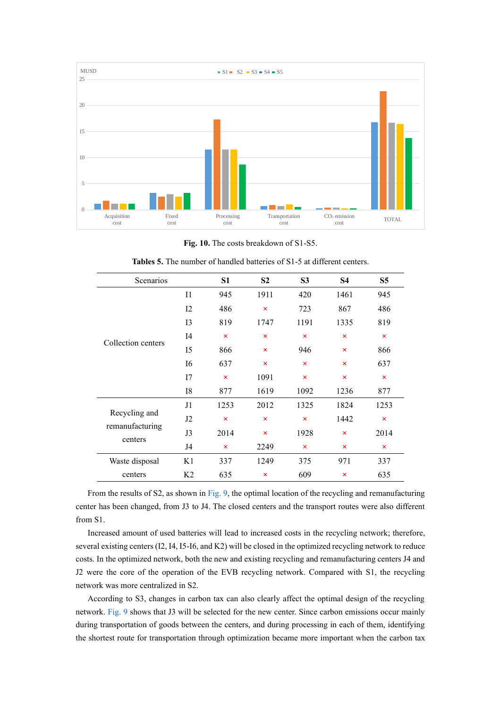

**Fig. 10.** The costs breakdown of S1-S5.

<span id="page-15-0"></span>

| Scenarios                  |                | S <sub>1</sub>            | S <sub>2</sub>            | S <sub>3</sub>          | S <sub>4</sub>            | S <sub>5</sub>            |
|----------------------------|----------------|---------------------------|---------------------------|-------------------------|---------------------------|---------------------------|
| Collection centers         | $_{\rm II}$    | 945                       | 1911                      | 420                     | 1461                      | 945                       |
|                            | 12             | 486                       | $\overline{\mathsf{x}}$   | 723                     | 867                       | 486                       |
|                            | 13             | 819                       | 1747                      | 1191                    | 1335                      | 819                       |
|                            | I <sub>4</sub> | $\boldsymbol{\mathsf{x}}$ | $\boldsymbol{\mathsf{x}}$ | $\pmb{\times}$          | $\boldsymbol{\mathsf{x}}$ | $\boldsymbol{\mathsf{x}}$ |
|                            | I5             | 866                       | ×                         | 946                     | $\times$                  | 866                       |
|                            | I6             | 637                       | $\overline{\mathsf{x}}$   | $\overline{\mathsf{x}}$ | $\times$                  | 637                       |
|                            | 17             | $\overline{\mathsf{x}}$   | 1091                      | ×                       | $\pmb{\times}$            | $\boldsymbol{\mathsf{x}}$ |
|                            | I8             | 877                       | 1619                      | 1092                    | 1236                      | 877                       |
|                            | J1             | 1253                      | 2012                      | 1325                    | 1824                      | 1253                      |
| Recycling and              | J2             | $\boldsymbol{\times}$     | $\overline{\mathsf{x}}$   | ×                       | 1442                      | $\boldsymbol{\mathsf{x}}$ |
| remanufacturing<br>centers | J3             | 2014                      | $\overline{\mathsf{x}}$   | 1928                    | $\boldsymbol{\mathsf{x}}$ | 2014                      |
|                            | J4             | $\boldsymbol{\times}$     | 2249                      | ×                       | $\boldsymbol{\times}$     | $\times$                  |
| Waste disposal             | K1             | 337                       | 1249                      | 375                     | 971                       | 337                       |
| centers                    | K <sub>2</sub> | 635                       | ×                         | 609                     | $\boldsymbol{\mathsf{x}}$ | 635                       |

**Tables 5.** The number of handled batteries of S1-5 at different centers.

From the results of S2, as shown in [Fig. 9,](#page-14-0) the optimal location of the recycling and remanufacturing center has been changed, from J3 to J4. The closed centers and the transport routes were also different from S1.

Increased amount of used batteries will lead to increased costs in the recycling network; therefore, several existing centers (I2, I4, I5-I6, and K2) will be closed in the optimized recycling network to reduce costs. In the optimized network, both the new and existing recycling and remanufacturing centers J4 and J2 were the core of the operation of the EVB recycling network. Compared with S1, the recycling network was more centralized in S2.

According to S3, changes in carbon tax can also clearly affect the optimal design of the recycling network. [Fig. 9](#page-14-0) shows that J3 will be selected for the new center. Since carbon emissions occur mainly during transportation of goods between the centers, and during processing in each of them, identifying the shortest route for transportation through optimization became more important when the carbon tax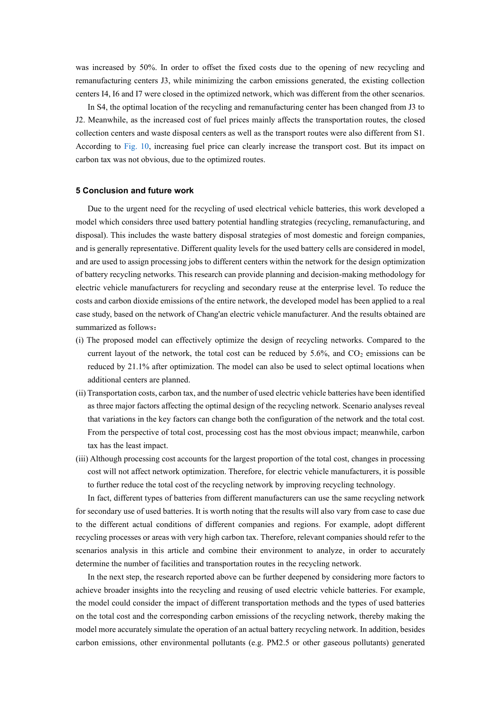was increased by 50%. In order to offset the fixed costs due to the opening of new recycling and remanufacturing centers J3, while minimizing the carbon emissions generated, the existing collection centers I4, I6 and I7 were closed in the optimized network, which was different from the other scenarios.

In S4, the optimal location of the recycling and remanufacturing center has been changed from J3 to J2. Meanwhile, as the increased cost of fuel prices mainly affects the transportation routes, the closed collection centers and waste disposal centers as well as the transport routes were also different from S1. According to [Fig.](#page-14-1) 10, increasing fuel price can clearly increase the transport cost. But its impact on carbon tax was not obvious, due to the optimized routes.

#### **5 Conclusion and future work**

Due to the urgent need for the recycling of used electrical vehicle batteries, this work developed a model which considers three used battery potential handling strategies (recycling, remanufacturing, and disposal). This includes the waste battery disposal strategies of most domestic and foreign companies, and is generally representative. Different quality levels for the used battery cells are considered in model, and are used to assign processing jobs to different centers within the network for the design optimization of battery recycling networks. This research can provide planning and decision-making methodology for electric vehicle manufacturers for recycling and secondary reuse at the enterprise level. To reduce the costs and carbon dioxide emissions of the entire network, the developed model has been applied to a real case study, based on the network of Chang'an electric vehicle manufacturer. And the results obtained are summarized as follows:

- (i) The proposed model can effectively optimize the design of recycling networks. Compared to the current layout of the network, the total cost can be reduced by  $5.6\%$ , and  $CO<sub>2</sub>$  emissions can be reduced by 21.1% after optimization. The model can also be used to select optimal locations when additional centers are planned.
- (ii) Transportation costs, carbon tax, and the number of used electric vehicle batteries have been identified as three major factors affecting the optimal design of the recycling network. Scenario analyses reveal that variations in the key factors can change both the configuration of the network and the total cost. From the perspective of total cost, processing cost has the most obvious impact; meanwhile, carbon tax has the least impact.
- (iii) Although processing cost accounts for the largest proportion of the total cost, changes in processing cost will not affect network optimization. Therefore, for electric vehicle manufacturers, it is possible to further reduce the total cost of the recycling network by improving recycling technology.

In fact, different types of batteries from different manufacturers can use the same recycling network for secondary use of used batteries. It is worth noting that the results will also vary from case to case due to the different actual conditions of different companies and regions. For example, adopt different recycling processes or areas with very high carbon tax. Therefore, relevant companies should refer to the scenarios analysis in this article and combine their environment to analyze, in order to accurately determine the number of facilities and transportation routes in the recycling network.

In the next step, the research reported above can be further deepened by considering more factors to achieve broader insights into the recycling and reusing of used electric vehicle batteries. For example, the model could consider the impact of different transportation methods and the types of used batteries on the total cost and the corresponding carbon emissions of the recycling network, thereby making the model more accurately simulate the operation of an actual battery recycling network. In addition, besides carbon emissions, other environmental pollutants (e.g. PM2.5 or other gaseous pollutants) generated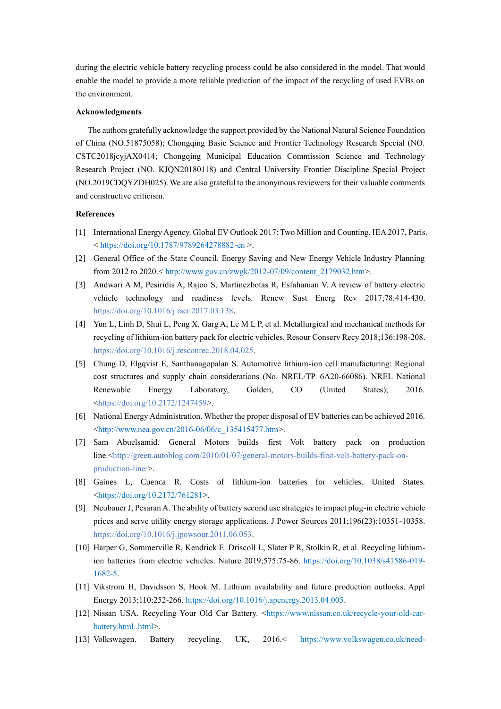during the electric vehicle battery recycling process could be also considered in the model. That would enable the model to provide a more reliable prediction of the impact of the recycling of used EVBs on the environment.

#### **Acknowledgments**

The authors gratefully acknowledge the support provided by the National Natural Science Foundation of China (NO.51875058); Chongqing Basic Science and Frontier Technology Research Special (NO. CSTC2018jcyjAX0414; Chongqing Municipal Education Commission Science and Technology Research Project (NO. KJQN20180118) and Central University Frontier Discipline Special Project (NO.2019CDQYZDH025). We are also grateful to the anonymous reviewers for their valuable comments and constructive criticism.

## **References**

- <span id="page-17-0"></span>[1] International Energy Agency. Global EV Outlook 2017: Two Million and Counting. IEA 2017, Paris. < [https://doi.org/10.1787/9789264278882-en >](https://doi.org/10.1787/9789264278882-en).
- <span id="page-17-1"></span>[2] General Office of the State Council. Energy Saving and New Energy Vehicle Industry Planning from 2012 to 2020.[< http://www.gov.cn/zwgk/2012-07/09/content\\_2179032.htm>](http://www.gov.cn/zwgk/2012-07/09/content_2179032.htm).
- <span id="page-17-2"></span>[3] Andwari A M, Pesiridis A, Rajoo S, Martinezbotas R, Esfahanian V. A review of battery electric vehicle technology and readiness levels. Renew Sust Energ Rev 2017;78:414-430. [https://doi.org/10.1016/j.rser.2017.03.138.](https://doi.org/10.1016/j.rser.2017.03.138)
- <span id="page-17-3"></span>[4] Yun L, Linh D, Shui L, Peng X, Garg A, Le M L P, et al. Metallurgical and mechanical methods for recycling of lithium-ion battery pack for electric vehicles. Resour Conserv Recy 2018;136:198-208. [https://doi.org/10.1016/j.resconrec.2018.04.025.](https://doi.org/10.1016/j.resconrec.2018.04.025)
- <span id="page-17-4"></span>[5] Chung D, Elgqvist E, Santhanagopalan S. Automotive lithium-ion cell manufacturing: Regional cost structures and supply chain considerations (No. NREL/TP–6A20-66086). NREL National Renewable Energy Laboratory, Golden, CO (United States); 2016. [<https://doi.org/10.2172/1247459>](https://doi.org/10.2172/1247459).
- <span id="page-17-5"></span>[6] National Energy Administration. Whether the proper disposal of EV batteries can be achieved 2016. [<http://www.nea.gov.cn/2016-06/06/c\\_135415477.htm>](http://www.nea.gov.cn/2016-06/06/c_135415477.htm).
- <span id="page-17-6"></span>[7] Sam Abuelsamid. General Motors builds first Volt battery pack on production line.[<http://green.autoblog.com/2010/01/07/general-motors-builds-first-volt-battery-pack-on](http://green.autoblog.com/2010/01/07/general-motors-builds-first-volt-battery-pack-on-production-line/)[production-line/>](http://green.autoblog.com/2010/01/07/general-motors-builds-first-volt-battery-pack-on-production-line/).
- <span id="page-17-7"></span>[8] Gaines L, Cuenca R. Costs of lithium-ion batteries for vehicles. United States. [<https://doi.org/10.2172/761281>](https://doi.org/10.2172/761281).
- <span id="page-17-8"></span>[9] Neubauer J, Pesaran A. The ability of battery second use strategies to impact plug-in electric vehicle prices and serve utility energy storage applications. J Power Sources 2011;196(23):10351-10358. [https://doi.org/10.1016/j.jpowsour.2011.06.053.](https://doi.org/10.1016/j.jpowsour.2011.06.053)
- <span id="page-17-9"></span>[10] Harper G, Sommerville R, Kendrick E. Driscoll L, Slater P R, Stolkin R, et al. Recycling lithiumion batteries from electric vehicles. Nature 2019;575:75-86. [https://doi.org/10.1038/s41586-019-](https://doi.org/10.1038/s41586-019-1682-5) [1682-5.](https://doi.org/10.1038/s41586-019-1682-5)
- <span id="page-17-11"></span><span id="page-17-10"></span>[11] Vikstrom H, Davidsson S, Hook M. Lithium availability and future production outlooks. Appl Energy 2013;110:252-266[. https://doi.org/10.1016/j.apenergy.2013.04.005.](https://doi.org/10.1016/j.apenergy.2013.04.005)
- <span id="page-17-12"></span>[12] Nissan USA. Recycling Your Old Car Battery. [<https://www.nissan.co.uk/recycle-your-old-car](https://www.nissan.co.uk/recycle-your-old-car-battery.html..html)[battery.html..html>](https://www.nissan.co.uk/recycle-your-old-car-battery.html..html).
- [13] Volkswagen. Battery recycling. UK, 2016.< [https://www.volkswagen.co.uk/need-](https://www.volkswagen.co.uk/need-help/environment/recycling)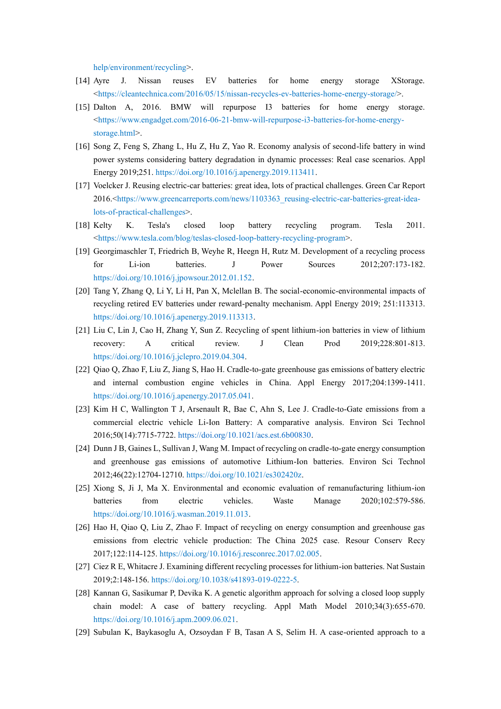<span id="page-18-1"></span><span id="page-18-0"></span>[help/environment/recycling>](https://www.volkswagen.co.uk/need-help/environment/recycling).

- [14] Ayre J. Nissan reuses EV batteries for home energy storage XStorage. [<https://cleantechnica.com/2016/05/15/nissan-recycles-ev-batteries-home-energy-storage/>](https://cleantechnica.com/2016/05/15/nissan-recycles-ev-batteries-home-energy-storage/).
- [15] Dalton A, 2016. BMW will repurpose I3 batteries for home energy storage. [<https://www.engadget.com/2016-06-21-bmw-will-repurpose-i3-batteries-for-home-energy](https://www.engadget.com/2016-06-21-bmw-will-repurpose-i3-batteries-for-home-energy-storage.html)[storage.html>](https://www.engadget.com/2016-06-21-bmw-will-repurpose-i3-batteries-for-home-energy-storage.html).
- <span id="page-18-2"></span>[16] Song Z, Feng S, Zhang L, Hu Z, Hu Z, Yao R. Economy analysis of second-life battery in wind power systems considering battery degradation in dynamic processes: Real case scenarios. Appl Energy 2019;251. [https://doi.org/10.1016/j.apenergy.2019.113411.](https://doi.org/10.1016/j.apenergy.2019.113411)
- <span id="page-18-3"></span>[17] Voelcker J. Reusing electric-car batteries: great idea, lots of practical challenges. Green Car Report 2016.[<https://www.greencarreports.com/news/1103363\\_reusing-electric-car-batteries-great-idea](https://www.greencarreports.com/news/1103363_reusing-electric-car-batteries-great-idea-lots-of-practical-challenges)[lots-of-practical-challenges>](https://www.greencarreports.com/news/1103363_reusing-electric-car-batteries-great-idea-lots-of-practical-challenges).
- <span id="page-18-5"></span><span id="page-18-4"></span>[18] Kelty K. Tesla's closed loop battery recycling program. Tesla 2011. [<https://www.tesla.com/blog/teslas-closed-loop-battery-recycling-program>](https://www.tesla.com/blog/teslas-closed-loop-battery-recycling-program).
- [19] Georgimaschler T, Friedrich B, Weyhe R, Heegn H, Rutz M. Development of a recycling process for Li-ion batteries. J Power Sources 2012;207:173-182. [https://doi.org/10.1016/j.jpowsour.2012.01.152.](https://doi.org/10.1016/j.jpowsour.2012.01.152)
- <span id="page-18-6"></span>[20] Tang Y, Zhang Q, Li Y, Li H, Pan X, Mclellan B. The social-economic-environmental impacts of recycling retired EV batteries under reward-penalty mechanism. Appl Energy 2019; 251:113313. [https://doi.org/10.1016/j.apenergy.2019.113313.](https://doi.org/10.1016/j.apenergy.2019.113313)
- <span id="page-18-7"></span>[21] Liu C, Lin J, Cao H, Zhang Y, Sun Z. Recycling of spent lithium-ion batteries in view of lithium recovery: A critical review. J Clean Prod 2019;228:801-813. [https://doi.org/10.1016/j.jclepro.2019.04.304.](https://doi.org/10.1016/j.jclepro.2019.04.304)
- <span id="page-18-8"></span>[22] Qiao Q, Zhao F, Liu Z, Jiang S, Hao H. Cradle-to-gate greenhouse gas emissions of battery electric and internal combustion engine vehicles in China. Appl Energy 2017;204:1399-1411. [https://doi.org/10.1016/j.apenergy.2017.05.041.](https://doi.org/10.1016/j.apenergy.2017.05.041)
- <span id="page-18-9"></span>[23] Kim H C, Wallington T J, Arsenault R, Bae C, Ahn S, Lee J. Cradle-to-Gate emissions from a commercial electric vehicle Li-Ion Battery: A comparative analysis. Environ Sci Technol 2016;50(14):7715-7722. [https://doi.org/10.1021/acs.est.6b00830.](https://doi.org/10.1021/acs.est.6b00830)
- <span id="page-18-10"></span>[24] Dunn J B, Gaines L, Sullivan J, Wang M. Impact of recycling on cradle-to-gate energy consumption and greenhouse gas emissions of automotive Lithium-Ion batteries. Environ Sci Technol 2012;46(22):12704-12710[. https://doi.org/10.1021/es302420z.](https://doi.org/10.1021/es302420z)
- <span id="page-18-11"></span>[25] Xiong S, Ji J, Ma X. Environmental and economic evaluation of remanufacturing lithium-ion batteries from electric vehicles. Waste Manage 2020;102:579-586. [https://doi.org/10.1016/j.wasman.2019.11.013.](https://doi.org/10.1016/j.wasman.2019.11.013)
- <span id="page-18-12"></span>[26] Hao H, Qiao Q, Liu Z, Zhao F. Impact of recycling on energy consumption and greenhouse gas emissions from electric vehicle production: The China 2025 case. Resour Conserv Recy 2017;122:114-125[. https://doi.org/10.1016/j.resconrec.2017.02.005.](https://doi.org/10.1016/j.resconrec.2017.02.005)
- <span id="page-18-14"></span><span id="page-18-13"></span>[27] Ciez R E, Whitacre J. Examining different recycling processes for lithium-ion batteries. Nat Sustain 2019;2:148-156. [https://doi.org/10.1038/s41893-019-0222-5.](https://doi.org/10.1038/s41893-019-0222-5)
- [28] Kannan G, Sasikumar P, Devika K. A genetic algorithm approach for solving a closed loop supply chain model: A case of battery recycling. Appl Math Model 2010;34(3):655-670. [https://doi.org/10.1016/j.apm.2009.06.021.](https://doi.org/10.1016/j.apm.2009.06.021)
- [29] Subulan K, Baykasoglu A, Ozsoydan F B, Tasan A S, Selim H. A case-oriented approach to a